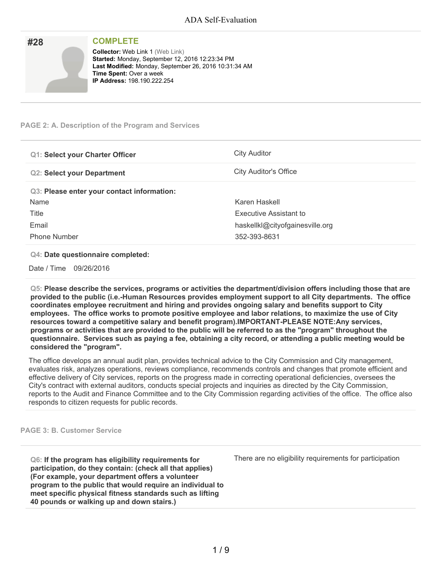| #28 | <b>COMPLETE</b>                                                                                                                                                                                                             |
|-----|-----------------------------------------------------------------------------------------------------------------------------------------------------------------------------------------------------------------------------|
|     | <b>Collector: Web Link 1 (Web Link)</b><br>Started: Monday, September 12, 2016 12:23:34 PM<br>Last Modified: Monday, September 26, 2016 10:31:34 AM<br><b>Time Spent: Over a week</b><br><b>IP Address: 198.190.222.254</b> |

### **PAGE 2: A. Description of the Program and Services**

| <b>Q1: Select your Charter Officer</b>     | <b>City Auditor</b>             |
|--------------------------------------------|---------------------------------|
| <b>Q2: Select your Department</b>          | <b>City Auditor's Office</b>    |
| Q3: Please enter your contact information: |                                 |
| Name                                       | Karen Haskell                   |
| Title                                      | Executive Assistant to          |
| Email                                      | haskellkl@cityofgainesville.org |
| <b>Phone Number</b>                        | 352-393-8631                    |

#### **Q4: Date questionnaire completed:**

Date / Time 09/26/2016

**Q5: Please describe the services, programs or activities the department/division offers including those that are provided to the public (i.e.-Human Resources provides employment support to all City departments. The office coordinates employee recruitment and hiring and provides ongoing salary and benefits support to City employees. The office works to promote positive employee and labor relations, to maximize the use of City resources toward a competitive salary and benefit program).IMPORTANT-PLEASE NOTE:Any services,** programs or activities that are provided to the public will be referred to as the "program" throughout the questionnaire. Services such as paying a fee, obtaining a city record, or attending a public meeting would be **considered the "program".**

The office develops an annual audit plan, provides technical advice to the City Commission and City management, evaluates risk, analyzes operations, reviews compliance, recommends controls and changes that promote efficient and effective delivery of City services, reports on the progress made in correcting operational deficiencies, oversees the City's contract with external auditors, conducts special projects and inquiries as directed by the City Commission, reports to the Audit and Finance Committee and to the City Commission regarding activities of the office. The office also responds to citizen requests for public records.

#### **PAGE 3: B. Customer Service**

**Q6: If the program has eligibility requirements for participation, do they contain: (check all that applies) (For example, your department offers a volunteer program to the public that would require an individual to meet specific physical fitness standards such as lifting 40 pounds or walking up and down stairs.)**

There are no eligibility requirements for participation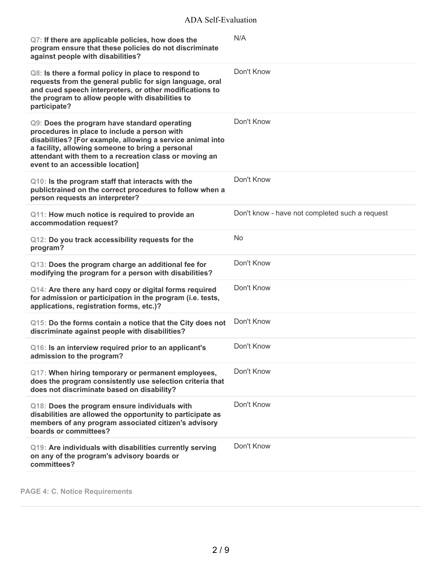| Q7: If there are applicable policies, how does the<br>program ensure that these policies do not discriminate<br>against people with disabilities?                                                                                                                                                            | N/A                                            |
|--------------------------------------------------------------------------------------------------------------------------------------------------------------------------------------------------------------------------------------------------------------------------------------------------------------|------------------------------------------------|
| Q8: Is there a formal policy in place to respond to<br>requests from the general public for sign language, oral<br>and cued speech interpreters, or other modifications to<br>the program to allow people with disabilities to<br>participate?                                                               | Don't Know                                     |
| Q9: Does the program have standard operating<br>procedures in place to include a person with<br>disabilities? [For example, allowing a service animal into<br>a facility, allowing someone to bring a personal<br>attendant with them to a recreation class or moving an<br>event to an accessible location] | Don't Know                                     |
| Q10: Is the program staff that interacts with the<br>publictrained on the correct procedures to follow when a<br>person requests an interpreter?                                                                                                                                                             | Don't Know                                     |
| Q11: How much notice is required to provide an<br>accommodation request?                                                                                                                                                                                                                                     | Don't know - have not completed such a request |
| Q12: Do you track accessibility requests for the<br>program?                                                                                                                                                                                                                                                 | No                                             |
| Q13: Does the program charge an additional fee for<br>modifying the program for a person with disabilities?                                                                                                                                                                                                  | Don't Know                                     |
| Q14: Are there any hard copy or digital forms required<br>for admission or participation in the program (i.e. tests,<br>applications, registration forms, etc.)?                                                                                                                                             | Don't Know                                     |
| Q15: Do the forms contain a notice that the City does not<br>discriminate against people with disabilities?                                                                                                                                                                                                  | Don't Know                                     |
| Q16: Is an interview required prior to an applicant's<br>admission to the program?                                                                                                                                                                                                                           | Don't Know                                     |
| Q17: When hiring temporary or permanent employees,<br>does the program consistently use selection criteria that<br>does not discriminate based on disability?                                                                                                                                                | Don't Know                                     |
| Q18: Does the program ensure individuals with<br>disabilities are allowed the opportunity to participate as<br>members of any program associated citizen's advisory<br>boards or committees?                                                                                                                 | Don't Know                                     |
| Q19: Are individuals with disabilities currently serving<br>on any of the program's advisory boards or<br>committees?                                                                                                                                                                                        | Don't Know                                     |

**PAGE 4: C. Notice Requirements**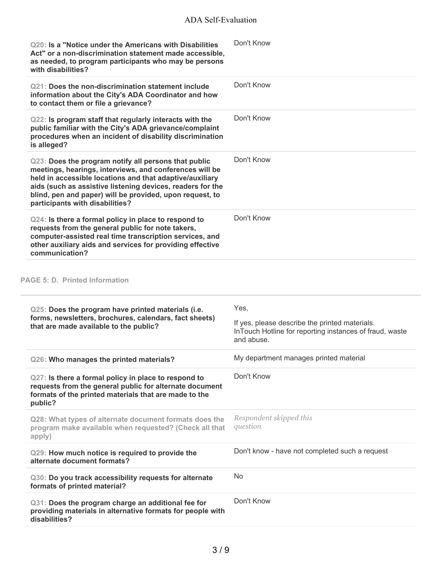| Q20: Is a "Notice under the Americans with Disabilities<br>Act" or a non-discrimination statement made accessible,<br>as needed, to program participants who may be persons<br>with disabilities?                                                                                                                                        | Don't Know                                                                                                                      |
|------------------------------------------------------------------------------------------------------------------------------------------------------------------------------------------------------------------------------------------------------------------------------------------------------------------------------------------|---------------------------------------------------------------------------------------------------------------------------------|
| Q21: Does the non-discrimination statement include<br>information about the City's ADA Coordinator and how<br>to contact them or file a grievance?                                                                                                                                                                                       | Don't Know                                                                                                                      |
| Q22: Is program staff that regularly interacts with the<br>public familiar with the City's ADA grievance/complaint<br>procedures when an incident of disability discrimination<br>is alleged?                                                                                                                                            | Don't Know                                                                                                                      |
| Q23: Does the program notify all persons that public<br>meetings, hearings, interviews, and conferences will be<br>held in accessible locations and that adaptive/auxiliary<br>aids (such as assistive listening devices, readers for the<br>blind, pen and paper) will be provided, upon request, to<br>participants with disabilities? | Don't Know                                                                                                                      |
| Q24: Is there a formal policy in place to respond to<br>requests from the general public for note takers,<br>computer-assisted real time transcription services, and<br>other auxiliary aids and services for providing effective<br>communication?                                                                                      | Don't Know                                                                                                                      |
| <b>PAGE 5: D. Printed Information</b>                                                                                                                                                                                                                                                                                                    |                                                                                                                                 |
| Q25: Does the program have printed materials (i.e.                                                                                                                                                                                                                                                                                       |                                                                                                                                 |
| forms, newsletters, brochures, calendars, fact sheets)<br>that are made available to the public?                                                                                                                                                                                                                                         | Yes,<br>If yes, please describe the printed materials.<br>InTouch Hotline for reporting instances of fraud, waste<br>and abuse. |
| Q26: Who manages the printed materials?                                                                                                                                                                                                                                                                                                  | My department manages printed material                                                                                          |
| Q27: Is there a formal policy in place to respond to<br>requests from the general public for alternate document<br>formats of the printed materials that are made to the<br>public?                                                                                                                                                      | Don't Know                                                                                                                      |
| Q28: What types of alternate document formats does the<br>program make available when requested? (Check all that<br>apply)                                                                                                                                                                                                               | Respondent skipped this<br>question                                                                                             |
| Q29: How much notice is required to provide the<br>alternate document formats?                                                                                                                                                                                                                                                           | Don't know - have not completed such a request                                                                                  |
| Q30: Do you track accessibility requests for alternate<br>formats of printed material?                                                                                                                                                                                                                                                   | No                                                                                                                              |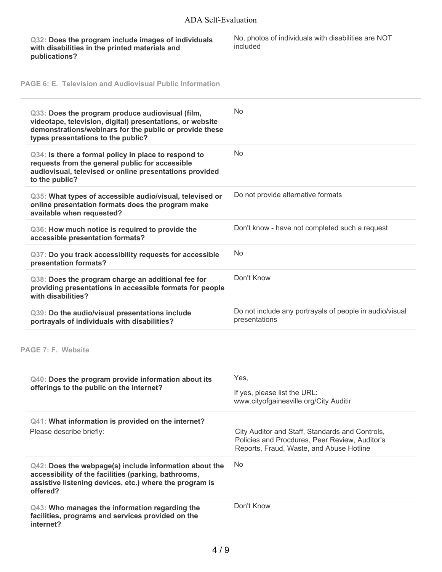**Q32: Does the program include images of individuals with disabilities in the printed materials and publications?**

No, photos of individuals with disabilities are NOT included

**PAGE 6: E. Television and Audiovisual Public Information**

| Q33: Does the program produce audiovisual (film,<br>videotape, television, digital) presentations, or website<br>demonstrations/webinars for the public or provide these<br>types presentations to the public? | <b>No</b>                                                                                                                                     |
|----------------------------------------------------------------------------------------------------------------------------------------------------------------------------------------------------------------|-----------------------------------------------------------------------------------------------------------------------------------------------|
| Q34: Is there a formal policy in place to respond to<br>requests from the general public for accessible<br>audiovisual, televised or online presentations provided<br>to the public?                           | No                                                                                                                                            |
| Q35: What types of accessible audio/visual, televised or<br>online presentation formats does the program make<br>available when requested?                                                                     | Do not provide alternative formats                                                                                                            |
| Q36: How much notice is required to provide the<br>accessible presentation formats?                                                                                                                            | Don't know - have not completed such a request                                                                                                |
| Q37: Do you track accessibility requests for accessible<br>presentation formats?                                                                                                                               | No                                                                                                                                            |
| Q38: Does the program charge an additional fee for<br>providing presentations in accessible formats for people<br>with disabilities?                                                                           | Don't Know                                                                                                                                    |
| Q39: Do the audio/visual presentations include<br>portrayals of individuals with disabilities?                                                                                                                 | Do not include any portrayals of people in audio/visual<br>presentations                                                                      |
| PAGE 7: F. Website                                                                                                                                                                                             |                                                                                                                                               |
| Q40: Does the program provide information about its<br>offerings to the public on the internet?                                                                                                                | Yes,<br>If yes, please list the URL:<br>www.cityofgainesville.org/City Auditir                                                                |
| Q41: What information is provided on the internet?<br>Please describe briefly:                                                                                                                                 | City Auditor and Staff, Standards and Controls,<br>Policies and Procdures, Peer Review, Auditor's<br>Reports, Fraud, Waste, and Abuse Hotline |
| Q42: Does the webpage(s) include information about the<br>accessibility of the facilities (parking, bathrooms,<br>assistive listening devices, etc.) where the program is<br>offered?                          | No                                                                                                                                            |
| Q43: Who manages the information regarding the<br>facilities, programs and services provided on the<br>internet?                                                                                               | Don't Know                                                                                                                                    |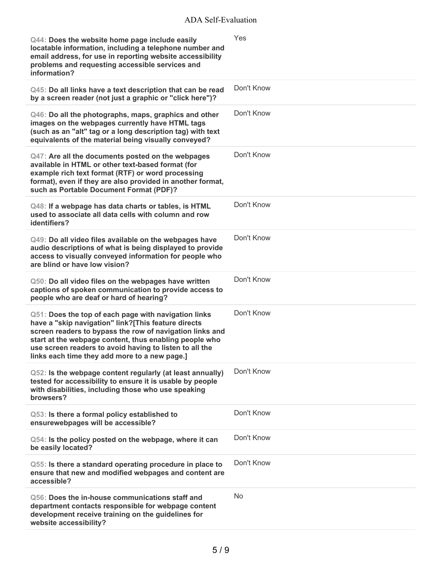| Q44: Does the website home page include easily<br>locatable information, including a telephone number and<br>email address, for use in reporting website accessibility<br>problems and requesting accessible services and<br>information?                                                                                                     | Yes        |
|-----------------------------------------------------------------------------------------------------------------------------------------------------------------------------------------------------------------------------------------------------------------------------------------------------------------------------------------------|------------|
| Q45: Do all links have a text description that can be read<br>by a screen reader (not just a graphic or "click here")?                                                                                                                                                                                                                        | Don't Know |
| Q46: Do all the photographs, maps, graphics and other<br>images on the webpages currently have HTML tags<br>(such as an "alt" tag or a long description tag) with text<br>equivalents of the material being visually conveyed?                                                                                                                | Don't Know |
| Q47: Are all the documents posted on the webpages<br>available in HTML or other text-based format (for<br>example rich text format (RTF) or word processing<br>format), even if they are also provided in another format,<br>such as Portable Document Format (PDF)?                                                                          | Don't Know |
| Q48: If a webpage has data charts or tables, is HTML<br>used to associate all data cells with column and row<br>identifiers?                                                                                                                                                                                                                  | Don't Know |
| Q49: Do all video files available on the webpages have<br>audio descriptions of what is being displayed to provide<br>access to visually conveyed information for people who<br>are blind or have low vision?                                                                                                                                 | Don't Know |
| Q50: Do all video files on the webpages have written<br>captions of spoken communication to provide access to<br>people who are deaf or hard of hearing?                                                                                                                                                                                      | Don't Know |
| Q51: Does the top of each page with navigation links<br>have a "skip navigation" link?[This feature directs<br>screen readers to bypass the row of navigation links and<br>start at the webpage content, thus enabling people who<br>use screen readers to avoid having to listen to all the<br>links each time they add more to a new page.] | Don't Know |
| Q52: Is the webpage content regularly (at least annually)<br>tested for accessibility to ensure it is usable by people<br>with disabilities, including those who use speaking<br>browsers?                                                                                                                                                    | Don't Know |
| Q53: Is there a formal policy established to<br>ensurewebpages will be accessible?                                                                                                                                                                                                                                                            | Don't Know |
| Q54: Is the policy posted on the webpage, where it can<br>be easily located?                                                                                                                                                                                                                                                                  | Don't Know |
| Q55: Is there a standard operating procedure in place to<br>ensure that new and modified webpages and content are<br>accessible?                                                                                                                                                                                                              | Don't Know |
| Q56: Does the in-house communications staff and<br>department contacts responsible for webpage content<br>development receive training on the guidelines for<br>website accessibility?                                                                                                                                                        | <b>No</b>  |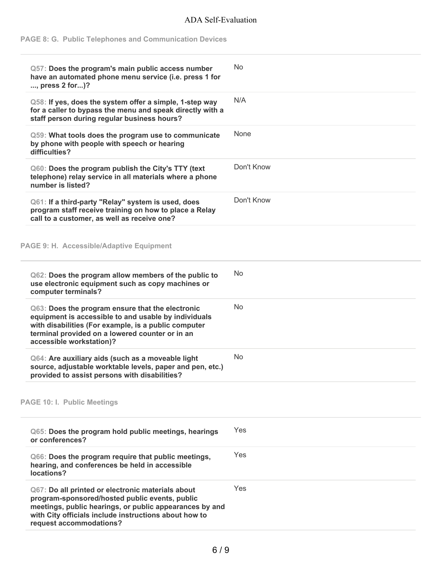# **PAGE 8: G. Public Telephones and Communication Devices**

| Q57: Does the program's main public access number<br>have an automated phone menu service (i.e. press 1 for<br>, press 2 for)?                                                                                                                     | No.        |
|----------------------------------------------------------------------------------------------------------------------------------------------------------------------------------------------------------------------------------------------------|------------|
| Q58: If yes, does the system offer a simple, 1-step way<br>for a caller to bypass the menu and speak directly with a<br>staff person during regular business hours?                                                                                | N/A        |
| Q59: What tools does the program use to communicate<br>by phone with people with speech or hearing<br>difficulties?                                                                                                                                | None       |
| Q60: Does the program publish the City's TTY (text<br>telephone) relay service in all materials where a phone<br>number is listed?                                                                                                                 | Don't Know |
| Q61: If a third-party "Relay" system is used, does<br>program staff receive training on how to place a Relay<br>call to a customer, as well as receive one?                                                                                        | Don't Know |
| PAGE 9: H. Accessible/Adaptive Equipment                                                                                                                                                                                                           |            |
| Q62: Does the program allow members of the public to<br>use electronic equipment such as copy machines or<br>computer terminals?                                                                                                                   | No         |
| Q63: Does the program ensure that the electronic<br>equipment is accessible to and usable by individuals<br>with disabilities (For example, is a public computer<br>terminal provided on a lowered counter or in an<br>accessible workstation)?    | <b>No</b>  |
| Q64: Are auxiliary aids (such as a moveable light<br>source, adjustable worktable levels, paper and pen, etc.)<br>provided to assist persons with disabilities?                                                                                    | <b>No</b>  |
| <b>PAGE 10: I. Public Meetings</b>                                                                                                                                                                                                                 |            |
| Q65: Does the program hold public meetings, hearings<br>or conferences?                                                                                                                                                                            | Yes        |
| Q66: Does the program require that public meetings,<br>hearing, and conferences be held in accessible<br>locations?                                                                                                                                | Yes        |
| Q67: Do all printed or electronic materials about<br>program-sponsored/hosted public events, public<br>meetings, public hearings, or public appearances by and<br>with City officials include instructions about how to<br>request accommodations? | Yes        |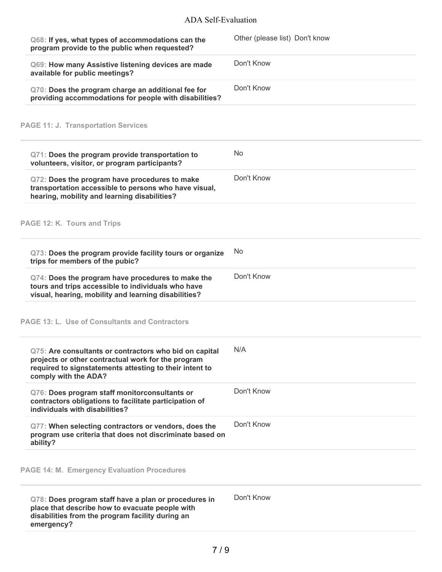| Q68: If yes, what types of accommodations can the<br>program provide to the public when requested?                                                                                              | Other (please list) Don't know |
|-------------------------------------------------------------------------------------------------------------------------------------------------------------------------------------------------|--------------------------------|
| Q69: How many Assistive listening devices are made<br>available for public meetings?                                                                                                            | Don't Know                     |
| Q70: Does the program charge an additional fee for<br>providing accommodations for people with disabilities?                                                                                    | Don't Know                     |
| <b>PAGE 11: J. Transportation Services</b>                                                                                                                                                      |                                |
| Q71: Does the program provide transportation to<br>volunteers, visitor, or program participants?                                                                                                | N <sub>o</sub>                 |
| Q72: Does the program have procedures to make<br>transportation accessible to persons who have visual,<br>hearing, mobility and learning disabilities?                                          | Don't Know                     |
| PAGE 12: K. Tours and Trips                                                                                                                                                                     |                                |
| Q73: Does the program provide facility tours or organize<br>trips for members of the pubic?                                                                                                     | No                             |
| Q74: Does the program have procedures to make the<br>tours and trips accessible to individuals who have<br>visual, hearing, mobility and learning disabilities?                                 | Don't Know                     |
| <b>PAGE 13: L. Use of Consultants and Contractors</b>                                                                                                                                           |                                |
| Q75: Are consultants or contractors who bid on capital<br>projects or other contractual work for the program<br>required to signstatements attesting to their intent to<br>comply with the ADA? | N/A                            |
| Q76: Does program staff monitorconsultants or<br>contractors obligations to facilitate participation of<br>individuals with disabilities?                                                       | Don't Know                     |
| Q77: When selecting contractors or vendors, does the<br>program use criteria that does not discriminate based on<br>ability?                                                                    | Don't Know                     |
| <b>PAGE 14: M. Emergency Evaluation Procedures</b>                                                                                                                                              |                                |
| Q78: Does program staff have a plan or procedures in<br>place that describe how to evacuate people with<br>disabilities from the program facility during an<br>emergency?                       | Don't Know                     |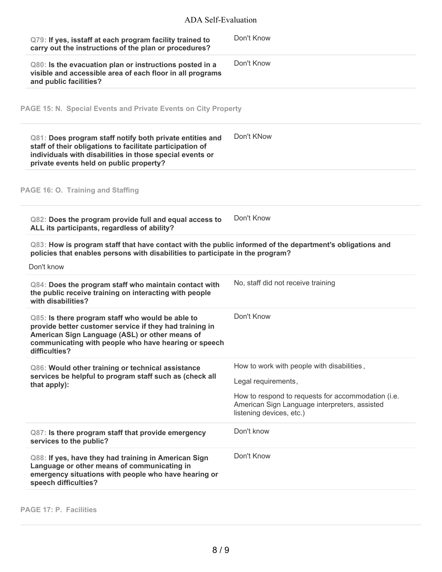| Q79: If yes, isstaff at each program facility trained to<br>carry out the instructions of the plan or procedures?                                                                                                                      | Don't Know                                                                                                                      |
|----------------------------------------------------------------------------------------------------------------------------------------------------------------------------------------------------------------------------------------|---------------------------------------------------------------------------------------------------------------------------------|
| Q80: Is the evacuation plan or instructions posted in a<br>visible and accessible area of each floor in all programs<br>and public facilities?                                                                                         | Don't Know                                                                                                                      |
| PAGE 15: N. Special Events and Private Events on City Property                                                                                                                                                                         |                                                                                                                                 |
| Q81: Does program staff notify both private entities and<br>staff of their obligations to facilitate participation of<br>individuals with disabilities in those special events or<br>private events held on public property?           | Don't KNow                                                                                                                      |
| PAGE 16: O. Training and Staffing                                                                                                                                                                                                      |                                                                                                                                 |
| Q82: Does the program provide full and equal access to<br>ALL its participants, regardless of ability?                                                                                                                                 | Don't Know                                                                                                                      |
| Q83: How is program staff that have contact with the public informed of the department's obligations and<br>policies that enables persons with disabilities to participate in the program?                                             |                                                                                                                                 |
| Don't know                                                                                                                                                                                                                             |                                                                                                                                 |
| Q84: Does the program staff who maintain contact with<br>the public receive training on interacting with people<br>with disabilities?                                                                                                  | No, staff did not receive training                                                                                              |
| Q85: Is there program staff who would be able to<br>provide better customer service if they had training in<br>American Sign Language (ASL) or other means of<br>communicating with people who have hearing or speech<br>difficulties? | Don't Know                                                                                                                      |
| Q86: Would other training or technical assistance<br>services be helpful to program staff such as (check all<br>that apply):                                                                                                           | How to work with people with disabilities,<br>Legal requirements,                                                               |
|                                                                                                                                                                                                                                        | How to respond to requests for accommodation (i.e.<br>American Sign Language interpreters, assisted<br>listening devices, etc.) |
| Q87: Is there program staff that provide emergency<br>services to the public?                                                                                                                                                          | Don't know                                                                                                                      |
| Q88: If yes, have they had training in American Sign<br>Language or other means of communicating in<br>emergency situations with people who have hearing or<br>speech difficulties?                                                    | Don't Know                                                                                                                      |